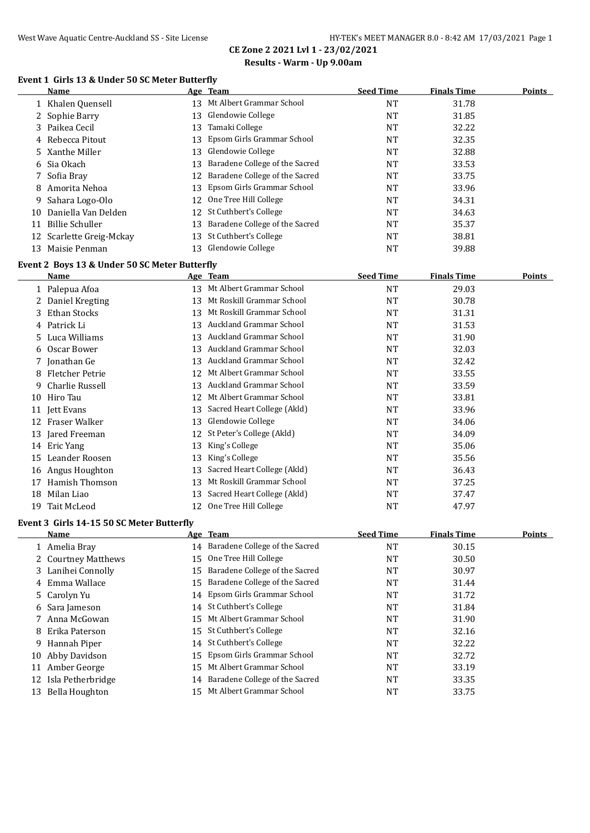#### **Event 1 Girls 13 & Under 50 SC Meter Butterfly**

|    | Name                     |    | Age Team                       | <b>Seed Time</b> | <b>Finals Time</b> | Points |
|----|--------------------------|----|--------------------------------|------------------|--------------------|--------|
|    | Khalen Quensell          | 13 | Mt Albert Grammar School       | NT               | 31.78              |        |
|    | 2 Sophie Barry           | 13 | Glendowie College              | NT               | 31.85              |        |
|    | 3 Paikea Cecil           | 13 | Tamaki College                 | NT               | 32.22              |        |
|    | 4 Rebecca Pitout         | 13 | Epsom Girls Grammar School     | NT               | 32.35              |        |
|    | 5 Xanthe Miller          | 13 | Glendowie College              | NT               | 32.88              |        |
|    | 6 Sia Okach              | 13 | Baradene College of the Sacred | NT               | 33.53              |        |
|    | 7 Sofia Bray             | 12 | Baradene College of the Sacred | NT               | 33.75              |        |
| 8  | - Amorita Nehoa          | 13 | Epsom Girls Grammar School     | NT               | 33.96              |        |
| 9  | Sahara Logo-Olo          | 12 | One Tree Hill College          | NT               | 34.31              |        |
| 10 | Daniella Van Delden      |    | 12 St Cuthbert's College       | NT               | 34.63              |        |
| 11 | Billie Schuller          | 13 | Baradene College of the Sacred | NT               | 35.37              |        |
|    | 12 Scarlette Greig-Mckay | 13 | St Cuthbert's College          | NT               | 38.81              |        |
| 13 | Maisie Penman            | 13 | Glendowie College              | NT               | 39.88              |        |

#### **Event 2 Boys 13 & Under 50 SC Meter Butterfly**

|    | Name               |    | Age Team                    | <b>Seed Time</b> | <b>Finals Time</b> | <u>Points</u> |
|----|--------------------|----|-----------------------------|------------------|--------------------|---------------|
|    | 1 Palepua Afoa     | 13 | Mt Albert Grammar School    | <b>NT</b>        | 29.03              |               |
|    | Daniel Kregting    | 13 | Mt Roskill Grammar School   | NT               | 30.78              |               |
| 3. | Ethan Stocks       | 13 | Mt Roskill Grammar School   | <b>NT</b>        | 31.31              |               |
|    | 4 Patrick Li       | 13 | Auckland Grammar School     | <b>NT</b>        | 31.53              |               |
|    | 5 Luca Williams    | 13 | Auckland Grammar School     | <b>NT</b>        | 31.90              |               |
| 6  | Oscar Bower        | 13 | Auckland Grammar School     | NT               | 32.03              |               |
|    | 7 Jonathan Ge      | 13 | Auckland Grammar School     | <b>NT</b>        | 32.42              |               |
| 8  | Fletcher Petrie    | 12 | Mt Albert Grammar School    | <b>NT</b>        | 33.55              |               |
| 9. | Charlie Russell    | 13 | Auckland Grammar School     | <b>NT</b>        | 33.59              |               |
| 10 | Hiro Tau           | 12 | Mt Albert Grammar School    | NT               | 33.81              |               |
|    | 11 Jett Evans      | 13 | Sacred Heart College (Akld) | <b>NT</b>        | 33.96              |               |
| 12 | Fraser Walker      | 13 | Glendowie College           | NT               | 34.06              |               |
| 13 | Jared Freeman      | 12 | St Peter's College (Akld)   | NT               | 34.09              |               |
|    | 14 Eric Yang       | 13 | King's College              | <b>NT</b>        | 35.06              |               |
| 15 | Leander Roosen     | 13 | King's College              | <b>NT</b>        | 35.56              |               |
| 16 | Angus Houghton     | 13 | Sacred Heart College (Akld) | NT               | 36.43              |               |
| 17 | Hamish Thomson     | 13 | Mt Roskill Grammar School   | <b>NT</b>        | 37.25              |               |
| 18 | Milan Liao         | 13 | Sacred Heart College (Akld) | NT               | 37.47              |               |
| 19 | <b>Tait McLeod</b> | 12 | One Tree Hill College       | NT               | 47.97              |               |

#### **Event 3 Girls 14-15 50 SC Meter Butterfly**

 $\overline{a}$ 

|    | Name                 |    | Age Team                       | <b>Seed Time</b> | <b>Finals Time</b> | <b>Points</b> |
|----|----------------------|----|--------------------------------|------------------|--------------------|---------------|
|    | 1 Amelia Bray        | 14 | Baradene College of the Sacred | NT               | 30.15              |               |
|    | 2 Courtney Matthews  | 15 | One Tree Hill College          | NT               | 30.50              |               |
|    | 3 Lanihei Connolly   | 15 | Baradene College of the Sacred | NT               | 30.97              |               |
|    | 4 Emma Wallace       | 15 | Baradene College of the Sacred | NT               | 31.44              |               |
|    | 5 Carolyn Yu         | 14 | Epsom Girls Grammar School     | NT               | 31.72              |               |
|    | 6 Sara Jameson       |    | 14 St Cuthbert's College       | NT               | 31.84              |               |
|    | Anna McGowan         | 15 | Mt Albert Grammar School       | NT               | 31.90              |               |
| 8  | Erika Paterson       | 15 | St Cuthbert's College          | NT               | 32.16              |               |
| 9. | Hannah Piper         | 14 | St Cuthbert's College          | NT               | 32.22              |               |
|    | 10 Abby Davidson     | 15 | Epsom Girls Grammar School     | NT               | 32.72              |               |
|    | 11 Amber George      | 15 | Mt Albert Grammar School       | NT               | 33.19              |               |
|    | 12 Isla Petherbridge | 14 | Baradene College of the Sacred | NT               | 33.35              |               |
|    | 13 Bella Houghton    | 15 | Mt Albert Grammar School       | NT               | 33.75              |               |
|    |                      |    |                                |                  |                    |               |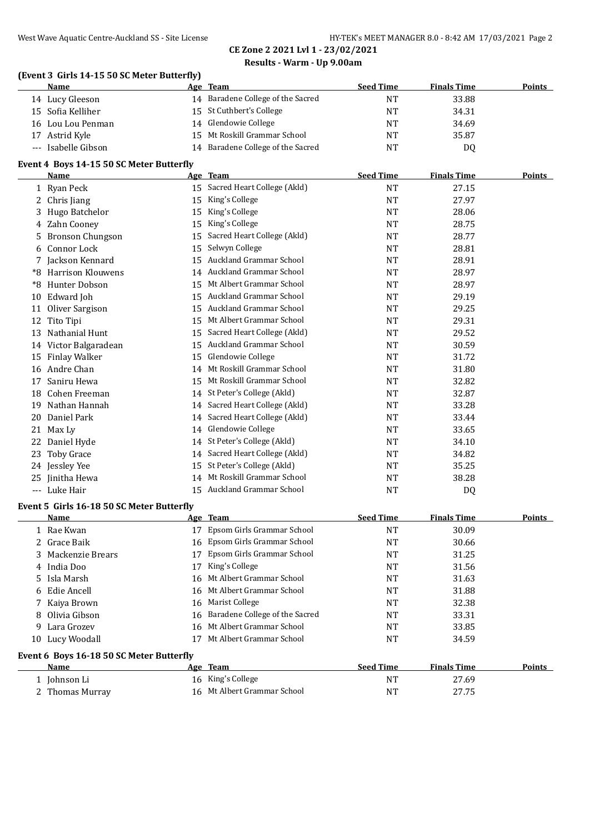#### **(Event 3 Girls 14-15 50 SC Meter Butterfly)**

| <b>Name</b>         | Age Team                          | <b>Seed Time</b> | <b>Finals Time</b> | <b>Points</b> |
|---------------------|-----------------------------------|------------------|--------------------|---------------|
| 14 Lucy Gleeson     | 14 Baradene College of the Sacred | NT               | 33.88              |               |
| 15 Sofia Kelliher   | 15 St Cuthbert's College          | NT               | 34.31              |               |
| 16 Lou Lou Penman   | 14 Glendowie College              | NT               | 34.69              |               |
| 17 Astrid Kyle      | 15 Mt Roskill Grammar School      | NT               | 35.87              |               |
| --- Isabelle Gibson | 14 Baradene College of the Sacred | NT               | D <sub>0</sub>     |               |

#### **Event 4 Boys 14-15 50 SC Meter Butterfly**

 $\overline{a}$ 

|     | Name                     |    | Age Team                       | <b>Seed Time</b> | <b>Finals Time</b> | Points |
|-----|--------------------------|----|--------------------------------|------------------|--------------------|--------|
|     | 1 Ryan Peck              | 15 | Sacred Heart College (Akld)    | <b>NT</b>        | 27.15              |        |
| 2   | Chris Jiang              | 15 | King's College                 | <b>NT</b>        | 27.97              |        |
|     | Hugo Batchelor           | 15 | King's College                 | <b>NT</b>        | 28.06              |        |
| 4   | Zahn Cooney              | 15 | King's College                 | <b>NT</b>        | 28.75              |        |
| 5   | <b>Bronson Chungson</b>  | 15 | Sacred Heart College (Akld)    | <b>NT</b>        | 28.77              |        |
| 6   | Connor Lock              | 15 | Selwyn College                 | <b>NT</b>        | 28.81              |        |
| 7   | Jackson Kennard          | 15 | <b>Auckland Grammar School</b> | <b>NT</b>        | 28.91              |        |
| *8  | <b>Harrison Klouwens</b> | 14 | Auckland Grammar School        | <b>NT</b>        | 28.97              |        |
| *8  | Hunter Dobson            | 15 | Mt Albert Grammar School       | <b>NT</b>        | 28.97              |        |
| 10  | Edward Joh               | 15 | Auckland Grammar School        | <b>NT</b>        | 29.19              |        |
| 11  | Oliver Sargison          | 15 | <b>Auckland Grammar School</b> | <b>NT</b>        | 29.25              |        |
| 12  | Tito Tipi                | 15 | Mt Albert Grammar School       | <b>NT</b>        | 29.31              |        |
| 13  | Nathanial Hunt           | 15 | Sacred Heart College (Akld)    | <b>NT</b>        | 29.52              |        |
|     | 14 Victor Balgaradean    | 15 | Auckland Grammar School        | <b>NT</b>        | 30.59              |        |
| 15  | Finlay Walker            | 15 | Glendowie College              | <b>NT</b>        | 31.72              |        |
| 16  | Andre Chan               | 14 | Mt Roskill Grammar School      | <b>NT</b>        | 31.80              |        |
| 17  | Saniru Hewa              | 15 | Mt Roskill Grammar School      | <b>NT</b>        | 32.82              |        |
| 18  | Cohen Freeman            | 14 | St Peter's College (Akld)      | <b>NT</b>        | 32.87              |        |
| 19  | Nathan Hannah            | 14 | Sacred Heart College (Akld)    | <b>NT</b>        | 33.28              |        |
| 20  | Daniel Park              | 14 | Sacred Heart College (Akld)    | <b>NT</b>        | 33.44              |        |
| 21  | Max Ly                   | 14 | Glendowie College              | <b>NT</b>        | 33.65              |        |
| 22  | Daniel Hyde              | 14 | St Peter's College (Akld)      | <b>NT</b>        | 34.10              |        |
| 23  | <b>Toby Grace</b>        | 14 | Sacred Heart College (Akld)    | NT               | 34.82              |        |
| 24  | Jessley Yee              | 15 | St Peter's College (Akld)      | <b>NT</b>        | 35.25              |        |
| 25  | Jinitha Hewa             | 14 | Mt Roskill Grammar School      | NT               | 38.28              |        |
| --- | Luke Hair                | 15 | Auckland Grammar School        | NT               | DQ                 |        |

#### **Event 5 Girls 16-18 50 SC Meter Butterfly**

| <b>Name</b>                              |    | Age Team                          | <b>Seed Time</b>     | <b>Finals Time</b> | Points |
|------------------------------------------|----|-----------------------------------|----------------------|--------------------|--------|
| 1 Rae Kwan                               | 17 | Epsom Girls Grammar School        | NT                   | 30.09              |        |
| 2 Grace Baik                             |    | 16 Epsom Girls Grammar School     | NT                   | 30.66              |        |
| 3 Mackenzie Brears                       | 17 | Epsom Girls Grammar School        | NT                   | 31.25              |        |
| 4 India Doo                              | 17 | King's College                    | NT                   | 31.56              |        |
| 5 Isla Marsh                             |    | 16 Mt Albert Grammar School       | NT                   | 31.63              |        |
| 6 Edie Ancell                            |    | 16 Mt Albert Grammar School       | NT                   | 31.88              |        |
| 7 Kaiya Brown                            |    | 16 Marist College                 | NT                   | 32.38              |        |
| 8 Olivia Gibson                          |    | 16 Baradene College of the Sacred | NT                   | 33.31              |        |
| 9 Lara Grozev                            |    | 16 Mt Albert Grammar School       | NT                   | 33.85              |        |
| 10 Lucy Woodall                          |    | Mt Albert Grammar School          | <b>NT</b>            | 34.59              |        |
| Event 6 Boys 16-18 50 SC Meter Butterfly |    |                                   |                      |                    |        |
|                                          |    |                                   | $\sim$ $\sim$ $\sim$ | ----               |        |

| Name            | Age Team                    | <b>Seed Time</b> | <b>Finals Time</b> | <b>Points</b> |
|-----------------|-----------------------------|------------------|--------------------|---------------|
| - Iohnson Li    | 16 King's College           | NT               | 27.69              |               |
| 2 Thomas Murrav | 16 Mt Albert Grammar School | NT               | 27.75              |               |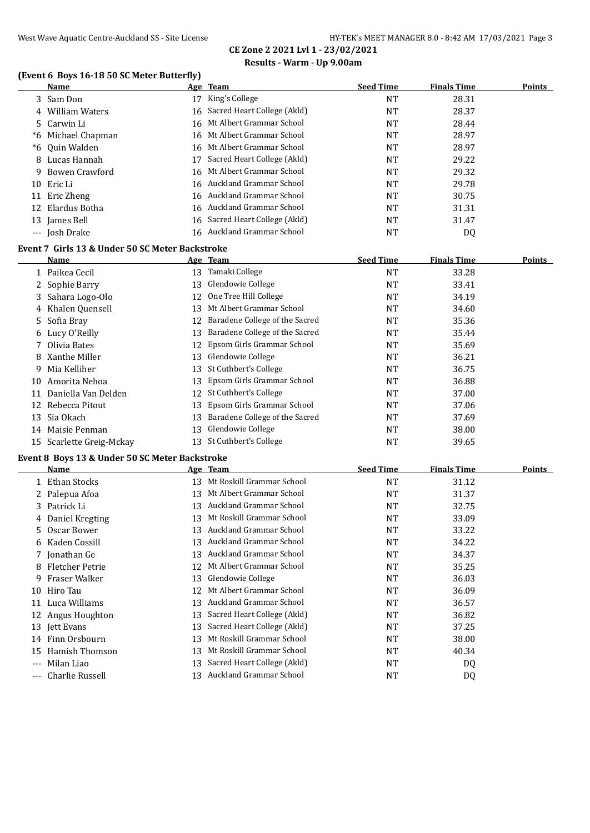# **CE Zone 2 2021 Lvl 1 - 23/02/2021**

#### **Results - Warm - Up 9.00am**

# **(Event 6 Boys 16-18 50 SC Meter Butterfly)**

|                                                  | <b>Name</b>        |    | Age Team                       | <b>Seed Time</b> | <b>Finals Time</b> | Points |  |
|--------------------------------------------------|--------------------|----|--------------------------------|------------------|--------------------|--------|--|
|                                                  | 3 Sam Don          | 17 | King's College                 | NT               | 28.31              |        |  |
|                                                  | 4 William Waters   |    | 16 Sacred Heart College (Akld) | <b>NT</b>        | 28.37              |        |  |
|                                                  | 5 Carwin Li        |    | 16 Mt Albert Grammar School    | <b>NT</b>        | 28.44              |        |  |
|                                                  | *6 Michael Chapman |    | 16 Mt Albert Grammar School    | <b>NT</b>        | 28.97              |        |  |
|                                                  | *6 Ouin Walden     |    | 16 Mt Albert Grammar School    | <b>NT</b>        | 28.97              |        |  |
|                                                  | 8 Lucas Hannah     |    | 17 Sacred Heart College (Akld) | <b>NT</b>        | 29.22              |        |  |
|                                                  | 9 Bowen Crawford   |    | 16 Mt Albert Grammar School    | NT               | 29.32              |        |  |
|                                                  | 10 Eric Li         |    | 16 Auckland Grammar School     | <b>NT</b>        | 29.78              |        |  |
|                                                  | 11 Eric Zheng      |    | 16 Auckland Grammar School     | <b>NT</b>        | 30.75              |        |  |
|                                                  | 12 Elardus Botha   |    | 16 Auckland Grammar School     | NT               | 31.31              |        |  |
|                                                  | 13 James Bell      |    | 16 Sacred Heart College (Akld) | <b>NT</b>        | 31.47              |        |  |
|                                                  | --- Josh Drake     |    | 16 Auckland Grammar School     | NT               | DQ                 |        |  |
| Event 7  Girls 13 & Under 50 SC Meter Backstroke |                    |    |                                |                  |                    |        |  |

|    | Name                     |    | Age Team                       | <b>Seed Time</b> | <b>Finals Time</b> | Points |
|----|--------------------------|----|--------------------------------|------------------|--------------------|--------|
|    | 1 Paikea Cecil           | 13 | Tamaki College                 | <b>NT</b>        | 33.28              |        |
|    | 2 Sophie Barry           | 13 | Glendowie College              | NT               | 33.41              |        |
|    | 3 Sahara Logo-Olo        | 12 | One Tree Hill College          | <b>NT</b>        | 34.19              |        |
|    | 4 Khalen Quensell        | 13 | Mt Albert Grammar School       | <b>NT</b>        | 34.60              |        |
|    | 5 Sofia Bray             | 12 | Baradene College of the Sacred | NT               | 35.36              |        |
|    | 6 Lucy O'Reilly          | 13 | Baradene College of the Sacred | <b>NT</b>        | 35.44              |        |
|    | 7 Olivia Bates           |    | 12 Epsom Girls Grammar School  | <b>NT</b>        | 35.69              |        |
|    | 8 Xanthe Miller          |    | 13 Glendowie College           | <b>NT</b>        | 36.21              |        |
| 9. | Mia Kelliher             |    | 13 St Cuthbert's College       | <b>NT</b>        | 36.75              |        |
| 10 | Amorita Nehoa            |    | 13 Epsom Girls Grammar School  | <b>NT</b>        | 36.88              |        |
| 11 | Daniella Van Delden      | 12 | St Cuthbert's College          | <b>NT</b>        | 37.00              |        |
| 12 | Rebecca Pitout           | 13 | Epsom Girls Grammar School     | <b>NT</b>        | 37.06              |        |
| 13 | Sia Okach                | 13 | Baradene College of the Sacred | NT               | 37.69              |        |
| 14 | Maisie Penman            |    | 13 Glendowie College           | <b>NT</b>        | 38.00              |        |
|    | 15 Scarlette Greig-Mckay | 13 | St Cuthbert's College          | NT               | 39.65              |        |

#### **Event 8 Boys 13 & Under 50 SC Meter Backstroke**

 $\overline{a}$ 

|          | Name              |    | Age Team                    | <b>Seed Time</b> | <b>Finals Time</b> | Points |
|----------|-------------------|----|-----------------------------|------------------|--------------------|--------|
|          | Ethan Stocks      | 13 | Mt Roskill Grammar School   | <b>NT</b>        | 31.12              |        |
|          | 2 Palepua Afoa    | 13 | Mt Albert Grammar School    | <b>NT</b>        | 31.37              |        |
| 3        | Patrick Li        | 13 | Auckland Grammar School     | <b>NT</b>        | 32.75              |        |
|          | 4 Daniel Kregting | 13 | Mt Roskill Grammar School   | <b>NT</b>        | 33.09              |        |
| 5.       | Oscar Bower       | 13 | Auckland Grammar School     | <b>NT</b>        | 33.22              |        |
|          | 6 Kaden Cossill   | 13 | Auckland Grammar School     | <b>NT</b>        | 34.22              |        |
|          | 7 Jonathan Ge     | 13 | Auckland Grammar School     | <b>NT</b>        | 34.37              |        |
| 8        | Fletcher Petrie   | 12 | Mt Albert Grammar School    | NT               | 35.25              |        |
| 9        | Fraser Walker     | 13 | Glendowie College           | <b>NT</b>        | 36.03              |        |
| 10       | Hiro Tau          | 12 | Mt Albert Grammar School    | NT               | 36.09              |        |
|          | 11 Luca Williams  | 13 | Auckland Grammar School     | <b>NT</b>        | 36.57              |        |
|          | 12 Angus Houghton | 13 | Sacred Heart College (Akld) | <b>NT</b>        | 36.82              |        |
|          | 13 Jett Evans     | 13 | Sacred Heart College (Akld) | <b>NT</b>        | 37.25              |        |
|          | 14 Finn Orsbourn  | 13 | Mt Roskill Grammar School   | <b>NT</b>        | 38.00              |        |
| 15       | Hamish Thomson    | 13 | Mt Roskill Grammar School   | <b>NT</b>        | 40.34              |        |
| $---$    | Milan Liao        | 13 | Sacred Heart College (Akld) | NT               | DQ                 |        |
| $\cdots$ | Charlie Russell   | 13 | Auckland Grammar School     | <b>NT</b>        | DQ                 |        |
|          |                   |    |                             |                  |                    |        |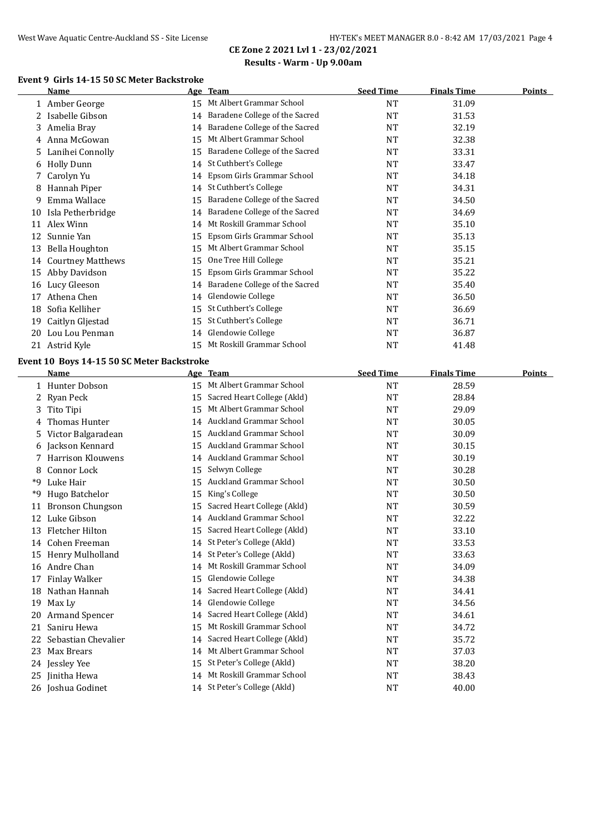# **CE Zone 2 2021 Lvl 1 - 23/02/2021**

# **Results - Warm - Up 9.00am**

### **Event 9 Girls 14-15 50 SC Meter Backstroke**

|    | <b>Name</b>                                |    | Age Team                                                   | <b>Seed Time</b> | <b>Finals Time</b> | <b>Points</b> |
|----|--------------------------------------------|----|------------------------------------------------------------|------------------|--------------------|---------------|
|    | 1 Amber George                             |    | 15 Mt Albert Grammar School                                | NT               | 31.09              |               |
|    | 2 Isabelle Gibson                          | 14 | Baradene College of the Sacred                             | <b>NT</b>        | 31.53              |               |
| 3  | Amelia Bray                                | 14 | Baradene College of the Sacred                             | NT               | 32.19              |               |
| 4  | Anna McGowan                               | 15 | Mt Albert Grammar School                                   | NT               | 32.38              |               |
|    | Lanihei Connolly                           | 15 | Baradene College of the Sacred                             | <b>NT</b>        | 33.31              |               |
| 6  | <b>Holly Dunn</b>                          | 14 | St Cuthbert's College                                      | <b>NT</b>        | 33.47              |               |
| 7  | Carolyn Yu                                 | 14 | Epsom Girls Grammar School                                 | <b>NT</b>        | 34.18              |               |
| 8  | Hannah Piper                               | 14 | St Cuthbert's College                                      | NT               | 34.31              |               |
| 9. | Emma Wallace                               | 15 | Baradene College of the Sacred                             | NT               | 34.50              |               |
|    | 10 Isla Petherbridge                       | 14 | Baradene College of the Sacred                             | NT               | 34.69              |               |
|    | 11 Alex Winn                               | 14 | Mt Roskill Grammar School                                  | NT               | 35.10              |               |
|    | 12 Sunnie Yan                              | 15 | Epsom Girls Grammar School                                 | NT               | 35.13              |               |
|    | 13 Bella Houghton                          |    | 15 Mt Albert Grammar School                                | <b>NT</b>        | 35.15              |               |
|    | 14 Courtney Matthews                       |    | 15 One Tree Hill College                                   | NT               | 35.21              |               |
|    | 15 Abby Davidson                           | 15 | Epsom Girls Grammar School                                 | NT               | 35.22              |               |
|    | 16 Lucy Gleeson                            |    | 14 Baradene College of the Sacred                          | NT               | 35.40              |               |
| 17 | Athena Chen                                | 14 | Glendowie College                                          | NT               | 36.50              |               |
| 18 | Sofia Kelliher                             |    | 15 St Cuthbert's College                                   | NT               | 36.69              |               |
|    | 19 Caitlyn Gljestad                        |    | 15 St Cuthbert's College                                   | NT               | 36.71              |               |
|    | 20 Lou Lou Penman                          | 14 | Glendowie College                                          | NT               | 36.87              |               |
|    | 21 Astrid Kyle                             |    | 15 Mt Roskill Grammar School                               | NT               | 41.48              |               |
|    |                                            |    |                                                            |                  |                    |               |
|    | Event 10 Boys 14-15 50 SC Meter Backstroke |    |                                                            | <b>Seed Time</b> |                    |               |
|    | Name                                       |    | Age Team<br>15 Mt Albert Grammar School                    |                  | <b>Finals Time</b> | Points        |
|    | 1 Hunter Dobson                            |    |                                                            | <b>NT</b>        | 28.59              |               |
|    | 2 Ryan Peck                                |    | 15 Sacred Heart College (Akld)<br>Mt Albert Grammar School | <b>NT</b>        | 28.84              |               |
| 3  | Tito Tipi                                  | 15 | 14 Auckland Grammar School                                 | NT               | 29.09              |               |
| 4  | Thomas Hunter                              |    | 15 Auckland Grammar School                                 | NT               | 30.05              |               |
| 5  | Victor Balgaradean                         |    | 15 Auckland Grammar School                                 | NT               | 30.09              |               |
| 6  | Jackson Kennard                            |    |                                                            | <b>NT</b>        | 30.15              |               |
| 7  | <b>Harrison Klouwens</b>                   |    | 14 Auckland Grammar School                                 | NT               | 30.19              |               |
| 8  | Connor Lock                                | 15 | Selwyn College                                             | NT               | 30.28              |               |
| *9 | Luke Hair                                  | 15 | Auckland Grammar School                                    | NT               | 30.50              |               |
| *9 | Hugo Batchelor                             | 15 | King's College                                             | NT               | 30.50              |               |
|    | 11 Bronson Chungson                        |    | 15 Sacred Heart College (Akld)                             | NT               | 30.59              |               |
|    | 12 Luke Gibson                             |    | 14 Auckland Grammar School                                 | NT               | 32.22              |               |
|    | 13 Fletcher Hilton                         |    | 15 Sacred Heart College (Akld)                             | NT               | 33.10              |               |
|    | 14 Cohen Freeman                           | 14 | St Peter's College (Akld)                                  | NT               | 33.53              |               |
|    | 15 Henry Mulholland                        | 14 | St Peter's College (Akld)                                  | <b>NT</b>        | 33.63              |               |
|    | 16 Andre Chan                              | 14 | Mt Roskill Grammar School                                  | NT               | 34.09              |               |
| 17 | Finlay Walker                              | 15 | Glendowie College                                          | <b>NT</b>        | 34.38              |               |
|    | 18 Nathan Hannah                           | 14 | Sacred Heart College (Akld)                                | NT               | 34.41              |               |
| 19 | Max Ly                                     | 14 | Glendowie College                                          | NT               | 34.56              |               |
| 20 | <b>Armand Spencer</b>                      | 14 | Sacred Heart College (Akld)                                | NT               | 34.61              |               |
| 21 | Saniru Hewa                                | 15 | Mt Roskill Grammar School                                  | <b>NT</b>        | 34.72              |               |
| 22 | Sebastian Chevalier                        | 14 | Sacred Heart College (Akld)                                | <b>NT</b>        | 35.72              |               |
| 23 | Max Brears                                 | 14 | Mt Albert Grammar School                                   | NT               | 37.03              |               |
|    |                                            |    |                                                            |                  |                    |               |
|    | 24 Jessley Yee                             | 15 | St Peter's College (Akld)                                  | NT               | 38.20              |               |
| 25 | Jinitha Hewa<br>26 Joshua Godinet          | 14 | Mt Roskill Grammar School<br>14 St Peter's College (Akld)  | NT<br><b>NT</b>  | 38.43<br>40.00     |               |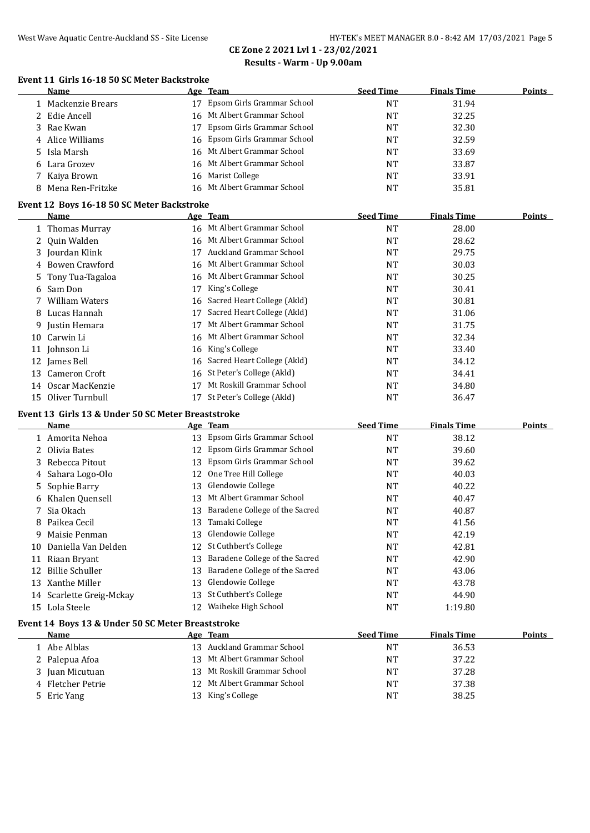# **CE Zone 2 2021 Lvl 1 - 23/02/2021 Results - Warm - Up 9.00am**

#### **Event 11 Girls 16-18 50 SC Meter Backstroke**

|    | Name                                               |    | Age Team                               | <b>Seed Time</b> | <b>Finals Time</b> | <b>Points</b> |
|----|----------------------------------------------------|----|----------------------------------------|------------------|--------------------|---------------|
|    | 1 Mackenzie Brears                                 |    | 17 Epsom Girls Grammar School          | <b>NT</b>        | 31.94              |               |
| 2  | Edie Ancell                                        |    | 16 Mt Albert Grammar School            | <b>NT</b>        | 32.25              |               |
| 3  | Rae Kwan                                           | 17 | Epsom Girls Grammar School             | NT               | 32.30              |               |
|    | 4 Alice Williams                                   |    | 16 Epsom Girls Grammar School          | NT               | 32.59              |               |
| 5. | Isla Marsh                                         |    | 16 Mt Albert Grammar School            | NT               | 33.69              |               |
|    | 6 Lara Grozev                                      |    | 16 Mt Albert Grammar School            | NT               | 33.87              |               |
| 7  | Kaiya Brown                                        |    | 16 Marist College                      | NT               | 33.91              |               |
|    | 8 Mena Ren-Fritzke                                 |    | 16 Mt Albert Grammar School            | <b>NT</b>        | 35.81              |               |
|    |                                                    |    |                                        |                  |                    |               |
|    | Event 12 Boys 16-18 50 SC Meter Backstroke<br>Name |    | Age Team                               | <b>Seed Time</b> | <b>Finals Time</b> | Points        |
|    | 1 Thomas Murray                                    |    | 16 Mt Albert Grammar School            | <b>NT</b>        | 28.00              |               |
| 2  | Quin Walden                                        |    | 16 Mt Albert Grammar School            | <b>NT</b>        | 28.62              |               |
|    | 3 Jourdan Klink                                    |    | 17 Auckland Grammar School             | NT               | 29.75              |               |
|    |                                                    |    | 16 Mt Albert Grammar School            |                  |                    |               |
|    | 4 Bowen Crawford                                   |    | 16 Mt Albert Grammar School            | NT               | 30.03              |               |
|    | Tony Tua-Tagaloa                                   |    |                                        | NT               | 30.25              |               |
|    | 6 Sam Don<br><b>William Waters</b>                 |    | 17 King's College                      | <b>NT</b>        | 30.41              |               |
| 7  |                                                    |    | 16 Sacred Heart College (Akld)         | NT               | 30.81              |               |
|    | 8 Lucas Hannah                                     |    | 17 Sacred Heart College (Akld)         | NT               | 31.06              |               |
| 9  | Justin Hemara                                      |    | 17 Mt Albert Grammar School            | NT               | 31.75              |               |
|    | 10 Carwin Li                                       |    | 16 Mt Albert Grammar School            | NT               | 32.34              |               |
|    | 11 Johnson Li                                      |    | 16 King's College                      | NT               | 33.40              |               |
|    | 12 James Bell                                      |    | 16 Sacred Heart College (Akld)         | NT               | 34.12              |               |
|    | 13 Cameron Croft                                   |    | 16 St Peter's College (Akld)           | NT               | 34.41              |               |
|    | 14 Oscar MacKenzie                                 |    | 17 Mt Roskill Grammar School           | NT               | 34.80              |               |
|    | 15 Oliver Turnbull                                 |    | 17 St Peter's College (Akld)           | <b>NT</b>        | 36.47              |               |
|    | Event 13 Girls 13 & Under 50 SC Meter Breaststroke |    |                                        |                  |                    |               |
|    | Name                                               |    | Age Team                               | <b>Seed Time</b> | <b>Finals Time</b> | <b>Points</b> |
|    | 1 Amorita Nehoa                                    |    | 13 Epsom Girls Grammar School          | NT               | 38.12              |               |
|    | 2 Olivia Bates                                     |    | 12 Epsom Girls Grammar School          | NT               | 39.60              |               |
| 3  | Rebecca Pitout                                     |    | 13 Epsom Girls Grammar School          | NT               | 39.62              |               |
| 4  | Sahara Logo-Olo                                    |    | 12 One Tree Hill College               | NT               | 40.03              |               |
| 5. | Sophie Barry                                       |    | 13 Glendowie College                   | NT               | 40.22              |               |
|    | 6 Khalen Quensell                                  |    | 13 Mt Albert Grammar School            | NT               | 40.47              |               |
| 7  | Sia Okach                                          |    | 13 Baradene College of the Sacred      | NT               | 40.87              |               |
| 8  | Paikea Cecil                                       |    | 13 Tamaki College                      | NT               | 41.56              |               |
| 9. | Maisie Penman                                      |    | 13 Glendowie College                   | NT               | 42.19              |               |
|    | 10 Daniella Van Delden                             | 12 | St Cuthbert's College                  | NT               | 42.81              |               |
|    | 11 Riaan Bryant                                    | 13 | Baradene College of the Sacred         | NT               | 42.90              |               |
|    | 12 Billie Schuller                                 | 13 | Baradene College of the Sacred         | NT               | 43.06              |               |
|    | 13 Xanthe Miller                                   | 13 | Glendowie College                      | NT               | 43.78              |               |
|    | 14 Scarlette Greig-Mckay                           | 13 | St Cuthbert's College                  | NT               | 44.90              |               |
|    | 15 Lola Steele                                     |    | 12 Waiheke High School                 | NT               | 1:19.80            |               |
|    |                                                    |    |                                        |                  |                    |               |
|    | Event 14 Boys 13 & Under 50 SC Meter Breaststroke  |    |                                        |                  |                    |               |
|    | <b>Name</b>                                        |    | Age Team<br>13 Auckland Grammar School | <b>Seed Time</b> | <b>Finals Time</b> | <b>Points</b> |
|    | 1 Abe Alblas                                       |    |                                        | NT               | 36.53              |               |
|    | 2 Palepua Afoa                                     |    | 13 Mt Albert Grammar School            | NT               | 37.22              |               |
|    | 3 Juan Micutuan                                    |    | 13 Mt Roskill Grammar School           | NT               | 37.28              |               |
|    | 4 Fletcher Petrie                                  |    | 12 Mt Albert Grammar School            | NT               | 37.38              |               |
|    | 5 Eric Yang                                        |    | 13 King's College                      | NT               | 38.25              |               |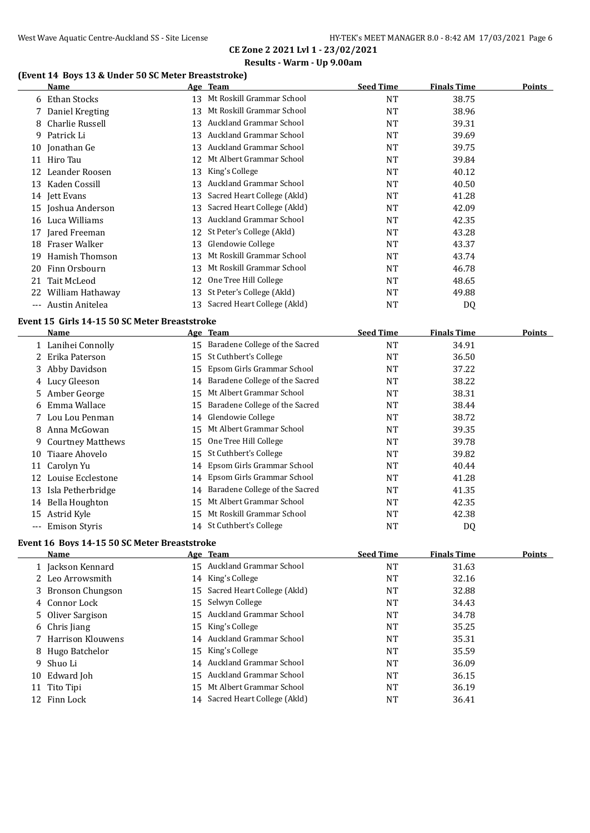# **(Event 14 Boys 13 & Under 50 SC Meter Breaststroke)**

|       | Name               |    | Age Team                       | <b>Seed Time</b> | <b>Finals Time</b> | <b>Points</b> |
|-------|--------------------|----|--------------------------------|------------------|--------------------|---------------|
|       | 6 Ethan Stocks     | 13 | Mt Roskill Grammar School      | <b>NT</b>        | 38.75              |               |
|       | 7 Daniel Kregting  | 13 | Mt Roskill Grammar School      | <b>NT</b>        | 38.96              |               |
|       | 8 Charlie Russell  | 13 | Auckland Grammar School        | <b>NT</b>        | 39.31              |               |
|       | 9 Patrick Li       | 13 | Auckland Grammar School        | <b>NT</b>        | 39.69              |               |
| 10    | Jonathan Ge        | 13 | Auckland Grammar School        | <b>NT</b>        | 39.75              |               |
|       | 11 Hiro Tau        | 12 | Mt Albert Grammar School       | <b>NT</b>        | 39.84              |               |
| 12    | Leander Roosen     | 13 | King's College                 | <b>NT</b>        | 40.12              |               |
|       | 13 Kaden Cossill   | 13 | Auckland Grammar School        | <b>NT</b>        | 40.50              |               |
|       | 14 Jett Evans      | 13 | Sacred Heart College (Akld)    | <b>NT</b>        | 41.28              |               |
|       | 15 Joshua Anderson | 13 | Sacred Heart College (Akld)    | <b>NT</b>        | 42.09              |               |
| 16    | Luca Williams      | 13 | Auckland Grammar School        | <b>NT</b>        | 42.35              |               |
|       | 17 Jared Freeman   |    | 12 St Peter's College (Akld)   | NT               | 43.28              |               |
| 18    | Fraser Walker      | 13 | Glendowie College              | <b>NT</b>        | 43.37              |               |
| 19    | Hamish Thomson     | 13 | Mt Roskill Grammar School      | <b>NT</b>        | 43.74              |               |
| 20    | Finn Orsbourn      | 13 | Mt Roskill Grammar School      | <b>NT</b>        | 46.78              |               |
| 21    | Tait McLeod        | 12 | One Tree Hill College          | <b>NT</b>        | 48.65              |               |
| 22    | William Hathaway   | 13 | St Peter's College (Akld)      | <b>NT</b>        | 49.88              |               |
| $---$ | Austin Anitelea    |    | 13 Sacred Heart College (Akld) | NT               | DQ                 |               |

#### **Event 15 Girls 14-15 50 SC Meter Breaststroke**

|          | Name                  |    | Age Team                          | <b>Seed Time</b> | <b>Finals Time</b> | Points |
|----------|-----------------------|----|-----------------------------------|------------------|--------------------|--------|
|          | 1 Lanihei Connolly    | 15 | Baradene College of the Sacred    | NT               | 34.91              |        |
|          | 2 Erika Paterson      | 15 | St Cuthbert's College             | NT               | 36.50              |        |
|          | 3 Abby Davidson       | 15 | Epsom Girls Grammar School        | NT               | 37.22              |        |
|          | 4 Lucy Gleeson        | 14 | Baradene College of the Sacred    | NT               | 38.22              |        |
|          | 5 Amber George        | 15 | Mt Albert Grammar School          | NT               | 38.31              |        |
|          | 6 Emma Wallace        | 15 | Baradene College of the Sacred    | NT               | 38.44              |        |
|          | 7 Lou Lou Penman      | 14 | Glendowie College                 | NT               | 38.72              |        |
| 8        | Anna McGowan          | 15 | Mt Albert Grammar School          | NT               | 39.35              |        |
|          | 9 Courtney Matthews   | 15 | One Tree Hill College             | NT               | 39.78              |        |
| 10       | Tiaare Ahovelo        | 15 | St Cuthbert's College             | NT               | 39.82              |        |
| 11       | Carolyn Yu            | 14 | Epsom Girls Grammar School        | NT               | 40.44              |        |
| 12       | Louise Ecclestone     | 14 | Epsom Girls Grammar School        | NT               | 41.28              |        |
| 13       | Isla Petherbridge     |    | 14 Baradene College of the Sacred | NT               | 41.35              |        |
| 14       | <b>Bella Houghton</b> | 15 | Mt Albert Grammar School          | NT               | 42.35              |        |
| 15       | Astrid Kyle           | 15 | Mt Roskill Grammar School         | NT               | 42.38              |        |
| $\cdots$ | <b>Emison Styris</b>  |    | 14 St Cuthbert's College          | NT               | DQ                 |        |

#### **Event 16 Boys 14-15 50 SC Meter Breaststroke**

| Name                |  | <b>Seed Time</b>                                                                                                                                                                                                                                                                                                                                      | <b>Finals Time</b> | <b>Points</b> |
|---------------------|--|-------------------------------------------------------------------------------------------------------------------------------------------------------------------------------------------------------------------------------------------------------------------------------------------------------------------------------------------------------|--------------------|---------------|
| 1 Jackson Kennard   |  | NT                                                                                                                                                                                                                                                                                                                                                    | 31.63              |               |
| 2 Leo Arrowsmith    |  | NT                                                                                                                                                                                                                                                                                                                                                    | 32.16              |               |
| 3 Bronson Chungson  |  | NT                                                                                                                                                                                                                                                                                                                                                    | 32.88              |               |
| 4 Connor Lock       |  | NT                                                                                                                                                                                                                                                                                                                                                    | 34.43              |               |
| 5 Oliver Sargison   |  | NT                                                                                                                                                                                                                                                                                                                                                    | 34.78              |               |
| 6 Chris Jiang       |  | NT                                                                                                                                                                                                                                                                                                                                                    | 35.25              |               |
| 7 Harrison Klouwens |  | NT                                                                                                                                                                                                                                                                                                                                                    | 35.31              |               |
| 8 Hugo Batchelor    |  | NT                                                                                                                                                                                                                                                                                                                                                    | 35.59              |               |
| 9 Shuo Li           |  | NT                                                                                                                                                                                                                                                                                                                                                    | 36.09              |               |
| 10 Edward Joh       |  | NT                                                                                                                                                                                                                                                                                                                                                    | 36.15              |               |
| 11 Tito Tipi        |  | <b>NT</b>                                                                                                                                                                                                                                                                                                                                             | 36.19              |               |
| 12 Finn Lock        |  | NT                                                                                                                                                                                                                                                                                                                                                    | 36.41              |               |
|                     |  | Age Team<br>15 Auckland Grammar School<br>14 King's College<br>15 Sacred Heart College (Akld)<br>15 Selwyn College<br>15 Auckland Grammar School<br>15 King's College<br>14 Auckland Grammar School<br>15 King's College<br>14 Auckland Grammar School<br>15 Auckland Grammar School<br>15 Mt Albert Grammar School<br>14 Sacred Heart College (Akld) |                    |               |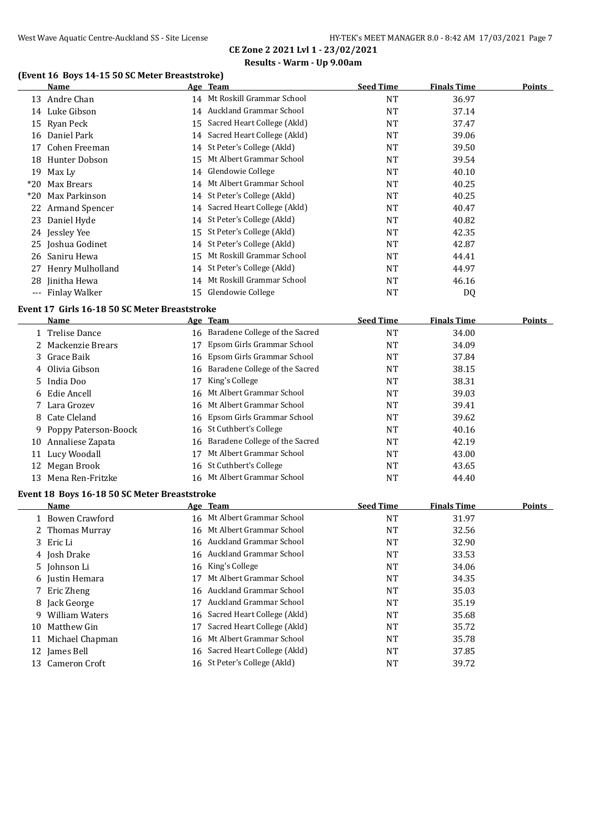# **(Event 16 Boys 14-15 50 SC Meter Breaststroke)**

|       | (Event To Boys 14-15 50 SC Meter Breaststroke)<br><b>Name</b> |    | <u>Age Team</u>                   | <b>Seed Time</b> | <b>Finals Time</b> | <b>Points</b> |
|-------|---------------------------------------------------------------|----|-----------------------------------|------------------|--------------------|---------------|
|       | 13 Andre Chan                                                 |    | 14 Mt Roskill Grammar School      | <b>NT</b>        | 36.97              |               |
|       | 14 Luke Gibson                                                |    | 14 Auckland Grammar School        | <b>NT</b>        | 37.14              |               |
|       | 15 Ryan Peck                                                  |    | 15 Sacred Heart College (Akld)    | <b>NT</b>        | 37.47              |               |
|       | 16 Daniel Park                                                |    | 14 Sacred Heart College (Akld)    | <b>NT</b>        | 39.06              |               |
| 17    | Cohen Freeman                                                 |    | 14 St Peter's College (Akld)      | <b>NT</b>        | 39.50              |               |
|       | 18 Hunter Dobson                                              | 15 | Mt Albert Grammar School          | <b>NT</b>        | 39.54              |               |
|       | 19 Max Ly                                                     |    | 14 Glendowie College              | <b>NT</b>        | 40.10              |               |
| $*20$ | Max Brears                                                    |    | 14 Mt Albert Grammar School       | <b>NT</b>        | 40.25              |               |
| $*20$ | Max Parkinson                                                 |    | 14 St Peter's College (Akld)      | <b>NT</b>        | 40.25              |               |
|       | 22 Armand Spencer                                             |    | 14 Sacred Heart College (Akld)    | <b>NT</b>        | 40.47              |               |
|       | 23 Daniel Hyde                                                |    | 14 St Peter's College (Akld)      | <b>NT</b>        | 40.82              |               |
|       | 24 Jessley Yee                                                |    | 15 St Peter's College (Akld)      | NT               | 42.35              |               |
|       | 25 Joshua Godinet                                             |    | 14 St Peter's College (Akld)      | NT               | 42.87              |               |
|       | 26 Saniru Hewa                                                |    | 15 Mt Roskill Grammar School      | NT               | 44.41              |               |
|       | 27 Henry Mulholland                                           |    | 14 St Peter's College (Akld)      | NT               | 44.97              |               |
|       | 28 Jinitha Hewa                                               |    | 14 Mt Roskill Grammar School      | <b>NT</b>        | 46.16              |               |
|       | --- Finlay Walker                                             |    | 15 Glendowie College              | NT               | DQ                 |               |
|       | Event 17 Girls 16-18 50 SC Meter Breaststroke                 |    |                                   |                  |                    |               |
|       | Name                                                          |    | Age Team                          | <b>Seed Time</b> | <b>Finals Time</b> | <b>Points</b> |
|       | 1 Trelise Dance                                               |    | 16 Baradene College of the Sacred | <b>NT</b>        | 34.00              |               |
|       | 2 Mackenzie Brears                                            | 17 | Epsom Girls Grammar School        | <b>NT</b>        | 34.09              |               |
| 3.    | Grace Baik                                                    | 16 | Epsom Girls Grammar School        | NT               | 37.84              |               |
|       | 4 Olivia Gibson                                               | 16 | Baradene College of the Sacred    | NT               | 38.15              |               |
| 5     | India Doo                                                     | 17 | King's College                    | NT               | 38.31              |               |
|       | 6 Edie Ancell                                                 | 16 | Mt Albert Grammar School          | <b>NT</b>        | 39.03              |               |
| 7     | Lara Grozev                                                   | 16 | Mt Albert Grammar School          | NT               | 39.41              |               |
| 8     | Cate Cleland                                                  | 16 | Epsom Girls Grammar School        | NT               | 39.62              |               |
| 9     | Poppy Paterson-Boock                                          | 16 | St Cuthbert's College             | NT               | 40.16              |               |
| 10    | Annaliese Zapata                                              | 16 | Baradene College of the Sacred    | NT               | 42.19              |               |
|       | 11 Lucy Woodall                                               | 17 | Mt Albert Grammar School          | <b>NT</b>        | 43.00              |               |
| 12    | Megan Brook                                                   |    | 16 St Cuthbert's College          | NT               | 43.65              |               |
|       | 13 Mena Ren-Fritzke                                           |    | 16 Mt Albert Grammar School       | <b>NT</b>        | 44.40              |               |
|       | Event 18 Boys 16-18 50 SC Meter Breaststroke                  |    |                                   |                  |                    |               |
|       | Name                                                          |    | Age Team                          | <b>Seed Time</b> | <b>Finals Time</b> | <b>Points</b> |
|       | 1 Bowen Crawford                                              |    | 16 Mt Albert Grammar School       | <b>NT</b>        | 31.97              |               |
|       | 2 Thomas Murray                                               |    | 16 Mt Albert Grammar School       | NT               | 32.56              |               |
|       | 3 Eric Li                                                     |    | 16 Auckland Grammar School        | <b>NT</b>        | 32.90              |               |
|       | 4 Josh Drake                                                  |    | 16 Auckland Grammar School        | NT               | 33.53              |               |
|       | 5 Johnson Li                                                  |    | 16 King's College                 | NT               | 34.06              |               |
|       | 6 Justin Hemara                                               | 17 | Mt Albert Grammar School          | NT               | 34.35              |               |
|       | 7 Eric Zheng                                                  |    | 16 Auckland Grammar School        | <b>NT</b>        | 35.03              |               |

8 Jack George **17 Auckland Grammar School NT** 35.19 9 William Waters **16 Sacred Heart College (Akld)** NT 35.68 10 Matthew Gin 17 Sacred Heart College (Akld) NT 35.72 11 Michael Chapman 16 Mt Albert Grammar School NT 35.78 12 James Bell **16 Sacred Heart College (Akld)** NT 37.85 Cameron Croft 16 St Peter's College (Akld) NT 39.72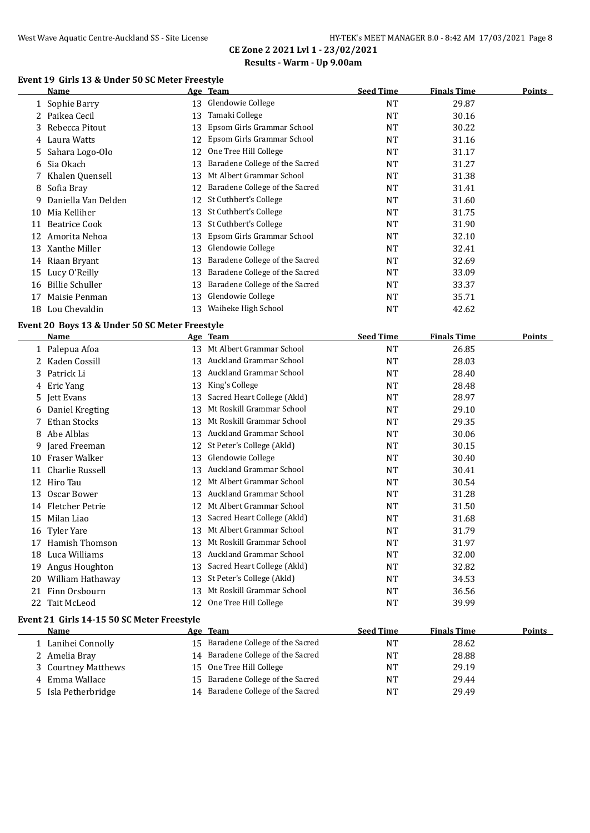#### **Event 19 Girls 13 & Under 50 SC Meter Freestyle**

|    | Name                 |    | Age Team                       | <b>Seed Time</b> | <b>Finals Time</b> | <b>Points</b> |
|----|----------------------|----|--------------------------------|------------------|--------------------|---------------|
|    | 1 Sophie Barry       | 13 | Glendowie College              | <b>NT</b>        | 29.87              |               |
|    | 2 Paikea Cecil       | 13 | Tamaki College                 | NT               | 30.16              |               |
|    | 3 Rebecca Pitout     | 13 | Epsom Girls Grammar School     | <b>NT</b>        | 30.22              |               |
| 4  | Laura Watts          | 12 | Epsom Girls Grammar School     | <b>NT</b>        | 31.16              |               |
|    | 5 Sahara Logo-Olo    | 12 | One Tree Hill College          | <b>NT</b>        | 31.17              |               |
|    | 6 Sia Okach          | 13 | Baradene College of the Sacred | <b>NT</b>        | 31.27              |               |
|    | 7 Khalen Quensell    | 13 | Mt Albert Grammar School       | <b>NT</b>        | 31.38              |               |
|    | 8 Sofia Bray         | 12 | Baradene College of the Sacred | <b>NT</b>        | 31.41              |               |
| 9  | Daniella Van Delden  | 12 | St Cuthbert's College          | <b>NT</b>        | 31.60              |               |
| 10 | Mia Kelliher         | 13 | St Cuthbert's College          | <b>NT</b>        | 31.75              |               |
| 11 | <b>Beatrice Cook</b> | 13 | St Cuthbert's College          | <b>NT</b>        | 31.90              |               |
| 12 | Amorita Nehoa        | 13 | Epsom Girls Grammar School     | <b>NT</b>        | 32.10              |               |
| 13 | Xanthe Miller        | 13 | Glendowie College              | NT               | 32.41              |               |
|    | 14 Riaan Bryant      | 13 | Baradene College of the Sacred | <b>NT</b>        | 32.69              |               |
| 15 | Lucy O'Reilly        | 13 | Baradene College of the Sacred | NT               | 33.09              |               |
| 16 | Billie Schuller      | 13 | Baradene College of the Sacred | <b>NT</b>        | 33.37              |               |
| 17 | Maisie Penman        | 13 | Glendowie College              | <b>NT</b>        | 35.71              |               |
| 18 | Lou Chevaldin        | 13 | Waiheke High School            | NT               | 42.62              |               |

#### **Event 20 Boys 13 & Under 50 SC Meter Freestyle**

|    | <b>Name</b>                                |    | Age Team                       | <b>Seed Time</b> | <b>Finals Time</b> | <b>Points</b> |
|----|--------------------------------------------|----|--------------------------------|------------------|--------------------|---------------|
| 1  | Palepua Afoa                               | 13 | Mt Albert Grammar School       | <b>NT</b>        | 26.85              |               |
|    | Kaden Cossill                              | 13 | Auckland Grammar School        | <b>NT</b>        | 28.03              |               |
| 3  | Patrick Li                                 | 13 | <b>Auckland Grammar School</b> | <b>NT</b>        | 28.40              |               |
| 4  | Eric Yang                                  | 13 | King's College                 | <b>NT</b>        | 28.48              |               |
| 5. | Jett Evans                                 | 13 | Sacred Heart College (Akld)    | <b>NT</b>        | 28.97              |               |
| 6  | Daniel Kregting                            | 13 | Mt Roskill Grammar School      | <b>NT</b>        | 29.10              |               |
|    | Ethan Stocks                               | 13 | Mt Roskill Grammar School      | <b>NT</b>        | 29.35              |               |
| 8  | Abe Alblas                                 | 13 | <b>Auckland Grammar School</b> | <b>NT</b>        | 30.06              |               |
| 9  | Jared Freeman                              | 12 | St Peter's College (Akld)      | <b>NT</b>        | 30.15              |               |
| 10 | Fraser Walker                              | 13 | Glendowie College              | <b>NT</b>        | 30.40              |               |
| 11 | Charlie Russell                            | 13 | <b>Auckland Grammar School</b> | <b>NT</b>        | 30.41              |               |
| 12 | Hiro Tau                                   | 12 | Mt Albert Grammar School       | <b>NT</b>        | 30.54              |               |
| 13 | Oscar Bower                                | 13 | Auckland Grammar School        | <b>NT</b>        | 31.28              |               |
| 14 | Fletcher Petrie                            | 12 | Mt Albert Grammar School       | <b>NT</b>        | 31.50              |               |
| 15 | Milan Liao                                 | 13 | Sacred Heart College (Akld)    | <b>NT</b>        | 31.68              |               |
| 16 | <b>Tyler Yare</b>                          | 13 | Mt Albert Grammar School       | <b>NT</b>        | 31.79              |               |
| 17 | Hamish Thomson                             | 13 | Mt Roskill Grammar School      | <b>NT</b>        | 31.97              |               |
| 18 | Luca Williams                              | 13 | <b>Auckland Grammar School</b> | <b>NT</b>        | 32.00              |               |
| 19 | Angus Houghton                             | 13 | Sacred Heart College (Akld)    | <b>NT</b>        | 32.82              |               |
| 20 | William Hathaway                           | 13 | St Peter's College (Akld)      | <b>NT</b>        | 34.53              |               |
| 21 | Finn Orsbourn                              | 13 | Mt Roskill Grammar School      | NT               | 36.56              |               |
| 22 | <b>Tait McLeod</b>                         | 12 | One Tree Hill College          | <b>NT</b>        | 39.99              |               |
|    | Event 21 Girls 14-15 50 SC Meter Freestyle |    |                                |                  |                    |               |
|    | <b>Name</b>                                |    | Age Team                       | <b>Seed Time</b> | <b>Finals Time</b> | <b>Points</b> |
|    | 1 Lanihei Connolly                         | 15 | Baradene College of the Sacred | <b>NT</b>        | 28.62              |               |
|    | 2 Amelia Bray                              | 14 | Baradene College of the Sacred | <b>NT</b>        | 28.88              |               |
| 3  | <b>Courtney Matthews</b>                   | 15 | One Tree Hill College          | <b>NT</b>        | 29.19              |               |

4 Emma Wallace **15 Baradene College of the Sacred** NT 29.44 Isla Petherbridge 14 Baradene College of the Sacred NT 29.49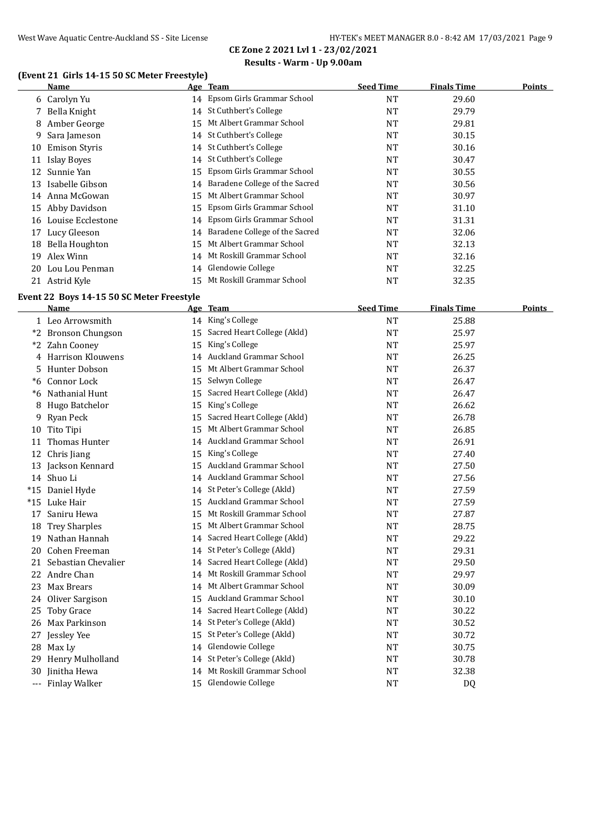# **Results - Warm - Up 9.00am**

# **(Event 21 Girls 14-15 50 SC Meter Freestyle)**

|    | Name               |     | Age Team                          | <b>Seed Time</b> | <b>Finals Time</b> | <b>Points</b> |
|----|--------------------|-----|-----------------------------------|------------------|--------------------|---------------|
|    | 6 Carolyn Yu       |     | 14 Epsom Girls Grammar School     | <b>NT</b>        | 29.60              |               |
|    | 7 Bella Knight     |     | 14 St Cuthbert's College          | NT               | 29.79              |               |
| 8  | Amber George       |     | 15 Mt Albert Grammar School       | <b>NT</b>        | 29.81              |               |
|    | 9 Sara Jameson     |     | 14 St Cuthbert's College          | <b>NT</b>        | 30.15              |               |
| 10 | Emison Styris      |     | 14 St Cuthbert's College          | <b>NT</b>        | 30.16              |               |
| 11 | Islay Boyes        |     | 14 St Cuthbert's College          | <b>NT</b>        | 30.47              |               |
| 12 | Sunnie Yan         |     | 15 Epsom Girls Grammar School     | <b>NT</b>        | 30.55              |               |
|    | 13 Isabelle Gibson |     | 14 Baradene College of the Sacred | NT               | 30.56              |               |
|    | 14 Anna McGowan    | 15  | Mt Albert Grammar School          | <b>NT</b>        | 30.97              |               |
| 15 | Abby Davidson      |     | 15 Epsom Girls Grammar School     | <b>NT</b>        | 31.10              |               |
| 16 | Louise Ecclestone  |     | 14 Epsom Girls Grammar School     | <b>NT</b>        | 31.31              |               |
| 17 | Lucy Gleeson       |     | 14 Baradene College of the Sacred | <b>NT</b>        | 32.06              |               |
| 18 | Bella Houghton     | 15  | Mt Albert Grammar School          | <b>NT</b>        | 32.13              |               |
| 19 | Alex Winn          | 14  | Mt Roskill Grammar School         | <b>NT</b>        | 32.16              |               |
| 20 | Lou Lou Penman     |     | 14 Glendowie College              | <b>NT</b>        | 32.25              |               |
|    | 21 Astrid Kyle     | 15. | Mt Roskill Grammar School         | NT               | 32.35              |               |
|    |                    |     |                                   |                  |                    |               |

#### **Event 22 Boys 14-15 50 SC Meter Freestyle**

|       | Name                 |    | Age Team                       | <b>Seed Time</b> | <b>Finals Time</b> | <b>Points</b> |
|-------|----------------------|----|--------------------------------|------------------|--------------------|---------------|
|       | 1 Leo Arrowsmith     |    | 14 King's College              | <b>NT</b>        | 25.88              |               |
|       | *2 Bronson Chungson  | 15 | Sacred Heart College (Akld)    | <b>NT</b>        | 25.97              |               |
| $*2$  | Zahn Cooney          | 15 | King's College                 | <b>NT</b>        | 25.97              |               |
|       | 4 Harrison Klouwens  |    | 14 Auckland Grammar School     | <b>NT</b>        | 26.25              |               |
| 5.    | Hunter Dobson        | 15 | Mt Albert Grammar School       | <b>NT</b>        | 26.37              |               |
| $*6$  | Connor Lock          | 15 | Selwyn College                 | NT               | 26.47              |               |
| $*6$  | Nathanial Hunt       | 15 | Sacred Heart College (Akld)    | <b>NT</b>        | 26.47              |               |
| 8     | Hugo Batchelor       | 15 | King's College                 | <b>NT</b>        | 26.62              |               |
| 9     | Ryan Peck            | 15 | Sacred Heart College (Akld)    | <b>NT</b>        | 26.78              |               |
| 10    | Tito Tipi            | 15 | Mt Albert Grammar School       | <b>NT</b>        | 26.85              |               |
| 11    | Thomas Hunter        |    | 14 Auckland Grammar School     | <b>NT</b>        | 26.91              |               |
| 12    | Chris Jiang          | 15 | King's College                 | <b>NT</b>        | 27.40              |               |
| 13    | Jackson Kennard      |    | 15 Auckland Grammar School     | <b>NT</b>        | 27.50              |               |
|       | 14 Shuo Li           |    | 14 Auckland Grammar School     | <b>NT</b>        | 27.56              |               |
|       | *15 Daniel Hyde      | 14 | St Peter's College (Akld)      | <b>NT</b>        | 27.59              |               |
| $*15$ | Luke Hair            |    | 15 Auckland Grammar School     | <b>NT</b>        | 27.59              |               |
| 17    | Saniru Hewa          | 15 | Mt Roskill Grammar School      | <b>NT</b>        | 27.87              |               |
| 18    | <b>Trey Sharples</b> |    | 15 Mt Albert Grammar School    | <b>NT</b>        | 28.75              |               |
| 19    | Nathan Hannah        |    | 14 Sacred Heart College (Akld) | <b>NT</b>        | 29.22              |               |
| 20    | Cohen Freeman        |    | 14 St Peter's College (Akld)   | <b>NT</b>        | 29.31              |               |
| 21    | Sebastian Chevalier  |    | 14 Sacred Heart College (Akld) | <b>NT</b>        | 29.50              |               |
| 22    | Andre Chan           |    | 14 Mt Roskill Grammar School   | <b>NT</b>        | 29.97              |               |
| 23    | Max Brears           |    | 14 Mt Albert Grammar School    | <b>NT</b>        | 30.09              |               |
| 24    | Oliver Sargison      |    | 15 Auckland Grammar School     | NT               | 30.10              |               |
| 25    | <b>Toby Grace</b>    |    | 14 Sacred Heart College (Akld) | <b>NT</b>        | 30.22              |               |
| 26    | Max Parkinson        |    | 14 St Peter's College (Akld)   | <b>NT</b>        | 30.52              |               |
|       | 27 Jessley Yee       |    | 15 St Peter's College (Akld)   | <b>NT</b>        | 30.72              |               |
|       | 28 Max Ly            |    | 14 Glendowie College           | <b>NT</b>        | 30.75              |               |
|       | 29 Henry Mulholland  | 14 | St Peter's College (Akld)      | <b>NT</b>        | 30.78              |               |
|       | 30 Jinitha Hewa      |    | 14 Mt Roskill Grammar School   | NT               | 32.38              |               |
|       | --- Finlay Walker    |    | 15 Glendowie College           | <b>NT</b>        | DQ                 |               |
|       |                      |    |                                |                  |                    |               |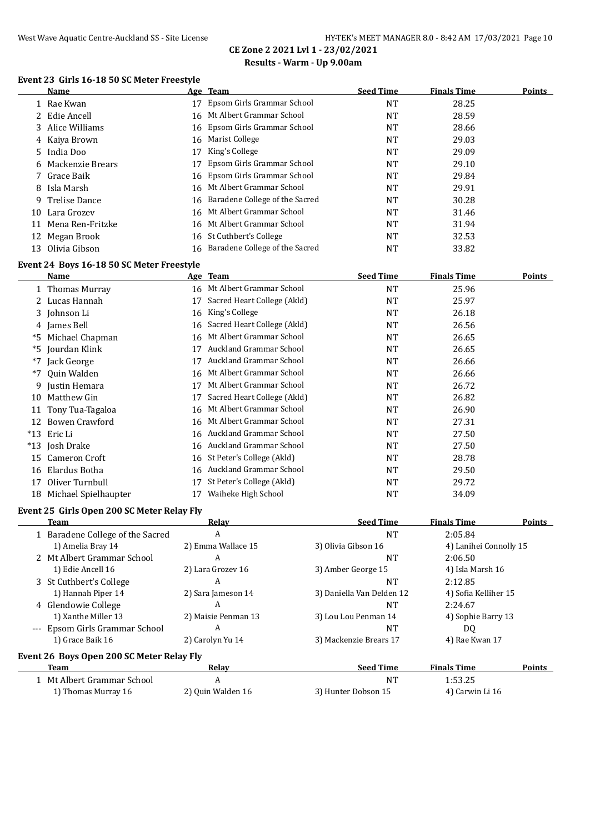#### West Wave Aquatic Centre-Auckland SS - Site License HY-TEK's MEET MANAGER 8.0 - 8:42 AM 17/03/2021 Page 10 **CE Zone 2 2021 Lvl 1 - 23/02/2021**

# **Results - Warm - Up 9.00am**

#### **Event 23 Girls 16-18 50 SC Meter Freestyle**

|    | Name               |    | Age Team                          | <b>Seed Time</b> | <b>Finals Time</b> | <b>Points</b> |
|----|--------------------|----|-----------------------------------|------------------|--------------------|---------------|
|    | 1 Rae Kwan         | 17 | Epsom Girls Grammar School        | NT               | 28.25              |               |
|    | 2 Edie Ancell      |    | 16 Mt Albert Grammar School       | NT               | 28.59              |               |
|    | 3 Alice Williams   |    | 16 Epsom Girls Grammar School     | NT               | 28.66              |               |
|    | 4 Kaiya Brown      |    | 16 Marist College                 | NT               | 29.03              |               |
|    | 5 India Doo        | 17 | King's College                    | NT               | 29.09              |               |
|    | 6 Mackenzie Brears |    | Epsom Girls Grammar School        | NT               | 29.10              |               |
|    | 7 Grace Baik       |    | 16 Epsom Girls Grammar School     | NT               | 29.84              |               |
|    | 8 Isla Marsh       |    | 16 Mt Albert Grammar School       | <b>NT</b>        | 29.91              |               |
|    | 9 Trelise Dance    |    | 16 Baradene College of the Sacred | NT               | 30.28              |               |
| 10 | Lara Grozev        |    | 16 Mt Albert Grammar School       | NT               | 31.46              |               |
| 11 | Mena Ren-Fritzke   |    | 16 Mt Albert Grammar School       | <b>NT</b>        | 31.94              |               |
| 12 | Megan Brook        |    | 16 St Cuthbert's College          | <b>NT</b>        | 32.53              |               |
|    | 13 Olivia Gibson   |    | 16 Baradene College of the Sacred | NT               | 33.82              |               |

### **Event 24 Boys 16-18 50 SC Meter Freestyle**

|       | Name                    |     | Age Team                    | <b>Seed Time</b> | <b>Finals Time</b> | Points |
|-------|-------------------------|-----|-----------------------------|------------------|--------------------|--------|
|       | 1 Thomas Murray         |     | 16 Mt Albert Grammar School | NT               | 25.96              |        |
|       | 2 Lucas Hannah          | 17  | Sacred Heart College (Akld) | <b>NT</b>        | 25.97              |        |
|       | 3 Johnson Li            | 16  | King's College              | NT               | 26.18              |        |
|       | 4 James Bell            | 16  | Sacred Heart College (Akld) | NT               | 26.56              |        |
| *5    | Michael Chapman         | 16  | Mt Albert Grammar School    | <b>NT</b>        | 26.65              |        |
|       | *5 Jourdan Klink        | 17  | Auckland Grammar School     | NT               | 26.65              |        |
| *7    | Jack George             | 17  | Auckland Grammar School     | <b>NT</b>        | 26.66              |        |
| $*7$  | Quin Walden             | 16  | Mt Albert Grammar School    | NT               | 26.66              |        |
|       | 9 Justin Hemara         | 17  | Mt Albert Grammar School    | NT               | 26.72              |        |
| 10    | Matthew Gin             | 17  | Sacred Heart College (Akld) | <b>NT</b>        | 26.82              |        |
|       | 11 Tony Tua-Tagaloa     | 16  | Mt Albert Grammar School    | NT               | 26.90              |        |
| 12    | Bowen Crawford          | 16  | Mt Albert Grammar School    | <b>NT</b>        | 27.31              |        |
| $*13$ | Eric Li                 | 16. | Auckland Grammar School     | <b>NT</b>        | 27.50              |        |
|       | *13 Josh Drake          | 16  | Auckland Grammar School     | NT               | 27.50              |        |
| 15    | Cameron Croft           | 16  | St Peter's College (Akld)   | NT               | 28.78              |        |
| 16    | Elardus Botha           | 16  | Auckland Grammar School     | NT               | 29.50              |        |
| 17    | Oliver Turnbull         | 17  | St Peter's College (Akld)   | NT               | 29.72              |        |
|       | 18 Michael Spielhaupter | 17  | Waiheke High School         | NT               | 34.09              |        |

#### **Event 25 Girls Open 200 SC Meter Relay Fly**

| Team                                      | Relay               | <b>Seed Time</b>          | <b>Finals Time</b>     | Points |
|-------------------------------------------|---------------------|---------------------------|------------------------|--------|
| 1 Baradene College of the Sacred          | A                   | <b>NT</b>                 | 2:05.84                |        |
| 1) Amelia Bray 14                         | 2) Emma Wallace 15  | 3) Olivia Gibson 16       | 4) Lanihei Connolly 15 |        |
| 2 Mt Albert Grammar School                | A                   | <b>NT</b>                 | 2:06.50                |        |
| 1) Edie Ancell 16                         | 2) Lara Grozev 16   | 3) Amber George 15        | 4) Isla Marsh 16       |        |
| 3 St Cuthbert's College                   | A                   | <b>NT</b>                 | 2:12.85                |        |
| 1) Hannah Piper 14                        | 2) Sara Jameson 14  | 3) Daniella Van Delden 12 | 4) Sofia Kelliher 15   |        |
| 4 Glendowie College                       | A                   | NT                        | 2:24.67                |        |
| 1) Xanthe Miller 13                       | 2) Maisie Penman 13 | 3) Lou Lou Penman 14      | 4) Sophie Barry 13     |        |
| --- Epsom Girls Grammar School            | A                   | <b>NT</b>                 | DQ                     |        |
| 1) Grace Baik 16                          | 2) Carolyn Yu 14    | 3) Mackenzie Brears 17    | 4) Rae Kwan 17         |        |
| Event 26 Boys Open 200 SC Meter Relay Fly |                     |                           |                        |        |
| Team                                      | Relav               | <b>Seed Time</b>          | <b>Finals Time</b>     | Points |
| 1 Mt Albert Grammar School                | A                   | <b>NT</b>                 | 1:53.25                |        |
| 1) Thomas Murray 16                       | 2) Ouin Walden 16   | 3) Hunter Dobson 15       | 4) Carwin Li 16        |        |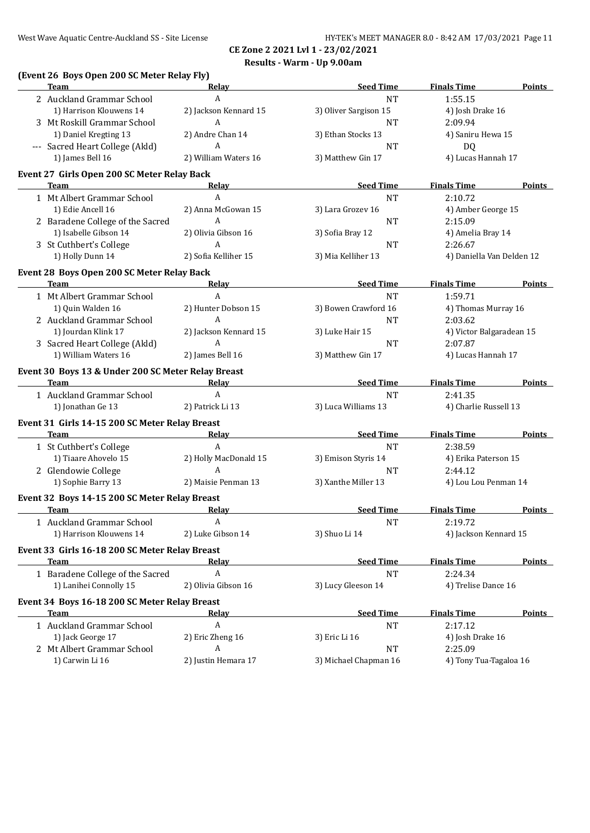# **CE Zone 2 2021 Lvl 1 - 23/02/2021 Results - Warm - Up 9.00am**

| (Event 26 Boys Open 200 SC Meter Relay Fly)<br><b>Team</b>                                                                                                                                                                          | Relay                    | <b>Seed Time</b>                 | <b>Finals Time</b>                   | <b>Points</b> |
|-------------------------------------------------------------------------------------------------------------------------------------------------------------------------------------------------------------------------------------|--------------------------|----------------------------------|--------------------------------------|---------------|
| 2 Auckland Grammar School                                                                                                                                                                                                           | $\boldsymbol{A}$         | <b>NT</b>                        | 1:55.15                              |               |
| 1) Harrison Klouwens 14                                                                                                                                                                                                             | 2) Jackson Kennard 15    | 3) Oliver Sargison 15            | 4) Josh Drake 16                     |               |
| 3 Mt Roskill Grammar School                                                                                                                                                                                                         | $\boldsymbol{A}$         | <b>NT</b>                        | 2:09.94                              |               |
| 1) Daniel Kregting 13                                                                                                                                                                                                               | 2) Andre Chan 14         | 3) Ethan Stocks 13               | 4) Saniru Hewa 15                    |               |
| --- Sacred Heart College (Akld)                                                                                                                                                                                                     | $\mathbf{A}$             | NT                               | DQ                                   |               |
| 1) James Bell 16                                                                                                                                                                                                                    | 2) William Waters 16     | 3) Matthew Gin 17                | 4) Lucas Hannah 17                   |               |
|                                                                                                                                                                                                                                     |                          |                                  |                                      |               |
| Event 27 Girls Open 200 SC Meter Relay Back<br><b>Team</b>                                                                                                                                                                          | Relay                    | <b>Seed Time</b>                 | <b>Finals Time</b>                   | <b>Points</b> |
| 1 Mt Albert Grammar School                                                                                                                                                                                                          | A                        | NT                               | 2:10.72                              |               |
| 1) Edie Ancell 16                                                                                                                                                                                                                   | 2) Anna McGowan 15       | 3) Lara Grozev 16                | 4) Amber George 15                   |               |
| 2 Baradene College of the Sacred                                                                                                                                                                                                    | A                        | NT                               | 2:15.09                              |               |
| 1) Isabelle Gibson 14                                                                                                                                                                                                               | 2) Olivia Gibson 16      | 3) Sofia Bray 12                 | 4) Amelia Bray 14                    |               |
|                                                                                                                                                                                                                                     | A                        |                                  |                                      |               |
| 3 St Cuthbert's College<br>1) Holly Dunn 14                                                                                                                                                                                         | 2) Sofia Kelliher 15     | <b>NT</b><br>3) Mia Kelliher 13  | 2:26.67<br>4) Daniella Van Delden 12 |               |
|                                                                                                                                                                                                                                     |                          |                                  |                                      |               |
| Event 28 Boys Open 200 SC Meter Relay Back                                                                                                                                                                                          |                          |                                  |                                      |               |
| <b>Team</b>                                                                                                                                                                                                                         | <b>Relay</b>             | <b>Seed Time</b>                 | <b>Finals Time</b>                   | <b>Points</b> |
| 1 Mt Albert Grammar School                                                                                                                                                                                                          | $\boldsymbol{A}$         | <b>NT</b>                        | 1:59.71                              |               |
| 1) Quin Walden 16                                                                                                                                                                                                                   | 2) Hunter Dobson 15      | 3) Bowen Crawford 16             | 4) Thomas Murray 16                  |               |
| 2 Auckland Grammar School                                                                                                                                                                                                           | A                        | <b>NT</b>                        | 2:03.62                              |               |
| 1) Jourdan Klink 17                                                                                                                                                                                                                 | 2) Jackson Kennard 15    | 3) Luke Hair 15                  | 4) Victor Balgaradean 15             |               |
| 3 Sacred Heart College (Akld)                                                                                                                                                                                                       | A                        | <b>NT</b>                        | 2:07.87                              |               |
| 1) William Waters 16                                                                                                                                                                                                                | 2) James Bell 16         | 3) Matthew Gin 17                | 4) Lucas Hannah 17                   |               |
| Event 30 Boys 13 & Under 200 SC Meter Relay Breast                                                                                                                                                                                  |                          |                                  |                                      |               |
| <b>Team</b> and the state of the state of the state of the state of the state of the state of the state of the state of the state of the state of the state of the state of the state of the state of the state of the state of the | Relay                    | <b>Seed Time</b>                 | <b>Finals Time</b>                   | <b>Points</b> |
| 1 Auckland Grammar School                                                                                                                                                                                                           | $\boldsymbol{A}$         | NT                               | 2:41.35                              |               |
| 1) Jonathan Ge 13                                                                                                                                                                                                                   | 2) Patrick Li 13         | 3) Luca Williams 13              | 4) Charlie Russell 13                |               |
| Event 31 Girls 14-15 200 SC Meter Relay Breast                                                                                                                                                                                      |                          |                                  |                                      |               |
| <b>Team</b>                                                                                                                                                                                                                         | Relay                    | <b>Seed Time</b>                 | <b>Finals Time</b>                   | <b>Points</b> |
| 1 St Cuthbert's College                                                                                                                                                                                                             | A                        | <b>NT</b>                        | 2:38.59                              |               |
| 1) Tiaare Ahovelo 15                                                                                                                                                                                                                | 2) Holly MacDonald 15    | 3) Emison Styris 14              | 4) Erika Paterson 15                 |               |
| 2 Glendowie College                                                                                                                                                                                                                 | A                        |                                  | 2:44.12                              |               |
| 1) Sophie Barry 13                                                                                                                                                                                                                  | 2) Maisie Penman 13      | <b>NT</b><br>3) Xanthe Miller 13 | 4) Lou Lou Penman 14                 |               |
|                                                                                                                                                                                                                                     |                          |                                  |                                      |               |
| Event 32 Boys 14-15 200 SC Meter Relay Breast                                                                                                                                                                                       |                          |                                  |                                      |               |
| <b>Team</b>                                                                                                                                                                                                                         | <b>Relay</b>             | <b>Seed Time</b>                 | <b>Finals Time</b>                   | <b>Points</b> |
| 1 Auckland Grammar School                                                                                                                                                                                                           | A                        | <b>NT</b>                        | 2:19.72                              |               |
|                                                                                                                                                                                                                                     |                          |                                  |                                      |               |
| 1) Harrison Klouwens 14                                                                                                                                                                                                             | 2) Luke Gibson 14        | 3) Shuo Li 14                    | 4) Jackson Kennard 15                |               |
| Event 33 Girls 16-18 200 SC Meter Relay Breast                                                                                                                                                                                      |                          |                                  |                                      |               |
| <b>Team</b>                                                                                                                                                                                                                         | Relay                    | <b>Seed Time</b>                 | <b>Finals Time</b>                   |               |
|                                                                                                                                                                                                                                     | A                        | <b>NT</b>                        | 2:24.34                              |               |
| 1 Baradene College of the Sacred<br>1) Lanihei Connolly 15                                                                                                                                                                          | 2) Olivia Gibson 16      | 3) Lucy Gleeson 14               | 4) Trelise Dance 16                  |               |
|                                                                                                                                                                                                                                     |                          |                                  |                                      | <b>Points</b> |
| Event 34 Boys 16-18 200 SC Meter Relay Breast                                                                                                                                                                                       |                          |                                  |                                      |               |
| Team                                                                                                                                                                                                                                | <u>Relav</u>             | <b>Seed Time</b>                 | <b>Finals Time</b>                   |               |
| 1 Auckland Grammar School                                                                                                                                                                                                           | A                        | NT                               | 2:17.12                              | <b>Points</b> |
| 1) Jack George 17                                                                                                                                                                                                                   | 2) Eric Zheng 16         | 3) Eric Li 16                    | 4) Josh Drake 16                     |               |
| 2 Mt Albert Grammar School<br>1) Carwin Li 16                                                                                                                                                                                       | A<br>2) Justin Hemara 17 | NT<br>3) Michael Chapman 16      | 2:25.09<br>4) Tony Tua-Tagaloa 16    |               |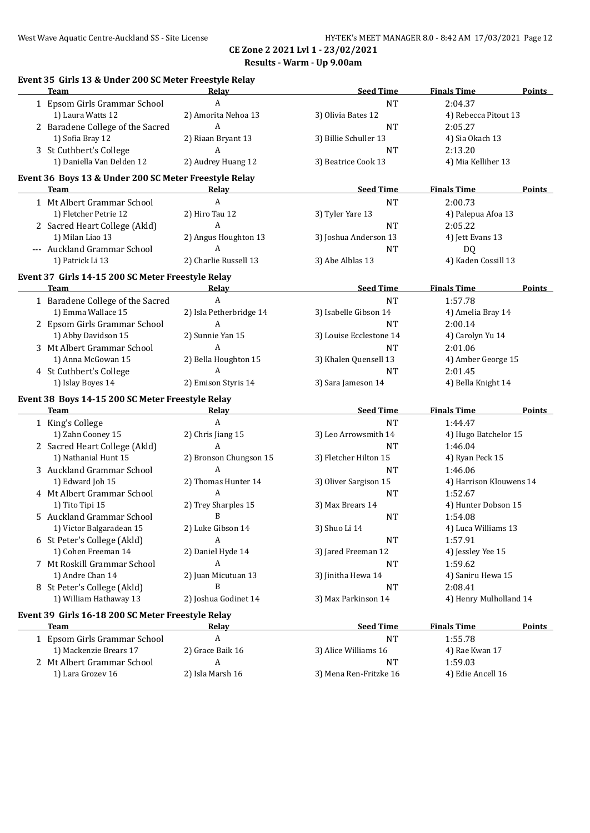**Event 35 Girls 13 & Under 200 SC Meter Freestyle Relay**

# **CE Zone 2 2021 Lvl 1 - 23/02/2021 Results - Warm - Up 9.00am**

| <b>Team</b>                                           | <b>Relay</b>             | <b>Seed Time</b>                 | <b>Finals Time</b>                | <b>Points</b> |
|-------------------------------------------------------|--------------------------|----------------------------------|-----------------------------------|---------------|
| 1 Epsom Girls Grammar School                          | $\mathbf{A}$             | NT                               | 2:04.37                           |               |
| 1) Laura Watts 12                                     | 2) Amorita Nehoa 13      | 3) Olivia Bates 12               | 4) Rebecca Pitout 13              |               |
| 2 Baradene College of the Sacred                      | A                        | $\rm{NT}$                        | 2:05.27                           |               |
| 1) Sofia Bray 12                                      | 2) Riaan Bryant 13       | 3) Billie Schuller 13            | 4) Sia Okach 13                   |               |
| 3 St Cuthbert's College                               | A                        | NT                               | 2:13.20                           |               |
| 1) Daniella Van Delden 12                             | 2) Audrey Huang 12       | 3) Beatrice Cook 13              | 4) Mia Kelliher 13                |               |
| Event 36 Boys 13 & Under 200 SC Meter Freestyle Relay |                          |                                  |                                   |               |
| Team                                                  | Relav                    | <b>Seed Time</b>                 | <b>Finals Time</b>                | <b>Points</b> |
| 1 Mt Albert Grammar School                            | A                        | <b>NT</b>                        | 2:00.73                           |               |
| 1) Fletcher Petrie 12                                 | 2) Hiro Tau 12           | 3) Tyler Yare 13                 | 4) Palepua Afoa 13                |               |
| 2 Sacred Heart College (Akld)                         | A                        | <b>NT</b>                        | 2:05.22                           |               |
| 1) Milan Liao 13                                      | 2) Angus Houghton 13     | 3) Joshua Anderson 13            | 4) Jett Evans 13                  |               |
| --- Auckland Grammar School                           | $\mathbf{A}$             | <b>NT</b>                        | DQ                                |               |
| 1) Patrick Li 13                                      | 2) Charlie Russell 13    | 3) Abe Alblas 13                 | 4) Kaden Cossill 13               |               |
| Event 37 Girls 14-15 200 SC Meter Freestyle Relay     |                          |                                  |                                   |               |
| <b>Team</b>                                           | Relay                    | <b>Seed Time</b>                 | <b>Finals Time</b>                | Points        |
| 1 Baradene College of the Sacred                      | A                        | <b>NT</b>                        | 1:57.78                           |               |
| 1) Emma Wallace 15                                    | 2) Isla Petherbridge 14  | 3) Isabelle Gibson 14            | 4) Amelia Bray 14                 |               |
| 2 Epsom Girls Grammar School                          | $\boldsymbol{A}$         | <b>NT</b>                        | 2:00.14                           |               |
| 1) Abby Davidson 15                                   | 2) Sunnie Yan 15         | 3) Louise Ecclestone 14          | 4) Carolyn Yu 14                  |               |
| 3 Mt Albert Grammar School                            | $\boldsymbol{A}$         | <b>NT</b>                        | 2:01.06                           |               |
| 1) Anna McGowan 15                                    | 2) Bella Houghton 15     | 3) Khalen Quensell 13            | 4) Amber George 15                |               |
| 4 St Cuthbert's College                               | A                        | <b>NT</b>                        | 2:01.45                           |               |
| 1) Islay Boyes 14                                     | 2) Emison Styris 14      | 3) Sara Jameson 14               | 4) Bella Knight 14                |               |
| Event 38 Boys 14-15 200 SC Meter Freestyle Relay      |                          |                                  |                                   |               |
| Team                                                  | <b>Relay</b>             | <b>Seed Time</b>                 | <b>Finals Time</b>                | Points        |
| 1 King's College                                      | A                        | <b>NT</b>                        | 1:44.47                           |               |
| 1) Zahn Cooney 15                                     | 2) Chris Jiang 15        | 3) Leo Arrowsmith 14             | 4) Hugo Batchelor 15              |               |
|                                                       |                          |                                  |                                   |               |
| 2 Sacred Heart College (Akld)                         | A                        | <b>NT</b>                        | 1:46.04                           |               |
| 1) Nathanial Hunt 15                                  | 2) Bronson Chungson 15   | 3) Fletcher Hilton 15            | 4) Ryan Peck 15                   |               |
| 3 Auckland Grammar School                             | A                        | <b>NT</b>                        | 1:46.06                           |               |
| 1) Edward Joh 15                                      | 2) Thomas Hunter 14      | 3) Oliver Sargison 15            | 4) Harrison Klouwens 14           |               |
| 4 Mt Albert Grammar School                            | A                        | <b>NT</b>                        | 1:52.67                           |               |
| 1) Tito Tipi 15                                       | 2) Trey Sharples 15      | 3) Max Brears 14                 | 4) Hunter Dobson 15               |               |
| 5 Auckland Grammar School                             | B                        | <b>NT</b>                        | 1:54.08                           |               |
|                                                       | 2) Luke Gibson 14        | 3) Shuo Li 14                    | 4) Luca Williams 13               |               |
| 1) Victor Balgaradean 15                              | A                        | <b>NT</b>                        | 1:57.91                           |               |
| 6 St Peter's College (Akld)                           |                          |                                  |                                   |               |
| 1) Cohen Freeman 14                                   | 2) Daniel Hyde 14<br>A   | 3) Jared Freeman 12<br>NT        | 4) Jessley Yee 15                 |               |
| 7 Mt Roskill Grammar School                           |                          |                                  | 1:59.62                           |               |
| 1) Andre Chan 14                                      | 2) Juan Micutuan 13<br>B | 3) Jinitha Hewa 14               | 4) Saniru Hewa 15                 |               |
| 8 St Peter's College (Akld)<br>1) William Hathaway 13 | 2) Joshua Godinet 14     | <b>NT</b><br>3) Max Parkinson 14 | 2:08.41<br>4) Henry Mulholland 14 |               |
| Event 39 Girls 16-18 200 SC Meter Freestyle Relay     |                          |                                  |                                   |               |
| Team                                                  | Relay                    | <b>Seed Time</b>                 | <b>Finals Time</b>                | <b>Points</b> |
| 1 Epsom Girls Grammar School                          | A                        | NT                               | 1:55.78                           |               |
| 1) Mackenzie Brears 17                                | 2) Grace Baik 16         | 3) Alice Williams 16             | 4) Rae Kwan 17                    |               |
| 2 Mt Albert Grammar School                            | A                        | NT                               | 1:59.03                           |               |
| 1) Lara Grozev 16                                     | 2) Isla Marsh 16         | 3) Mena Ren-Fritzke 16           | 4) Edie Ancell 16                 |               |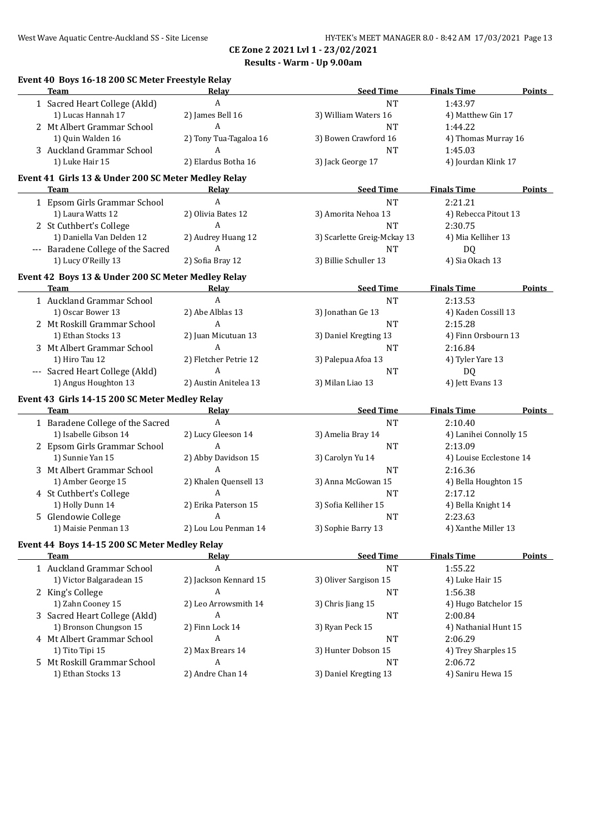**Event 40 Boys 16-18 200 SC Meter Freestyle Relay**

# **CE Zone 2 2021 Lvl 1 - 23/02/2021 Results - Warm - Up 9.00am**

| <b>Team</b>                                         | Relay                  | <b>Seed Time</b>            | <b>Finals Time</b>      | <b>Points</b> |
|-----------------------------------------------------|------------------------|-----------------------------|-------------------------|---------------|
| 1 Sacred Heart College (Akld)                       | A                      | <b>NT</b>                   | 1:43.97                 |               |
| 1) Lucas Hannah 17                                  | 2) James Bell 16       | 3) William Waters 16        | 4) Matthew Gin 17       |               |
| 2 Mt Albert Grammar School                          | A                      | <b>NT</b>                   | 1:44.22                 |               |
| 1) Quin Walden 16                                   | 2) Tony Tua-Tagaloa 16 | 3) Bowen Crawford 16        | 4) Thomas Murray 16     |               |
| 3 Auckland Grammar School                           | A                      | <b>NT</b>                   | 1:45.03                 |               |
| 1) Luke Hair 15                                     | 2) Elardus Botha 16    | 3) Jack George 17           | 4) Jourdan Klink 17     |               |
| Event 41 Girls 13 & Under 200 SC Meter Medley Relay |                        |                             |                         |               |
| Team                                                | Relav                  | <b>Seed Time</b>            | <b>Finals Time</b>      | <b>Points</b> |
| 1 Epsom Girls Grammar School                        | A                      | <b>NT</b>                   | 2:21.21                 |               |
| 1) Laura Watts 12                                   | 2) Olivia Bates 12     | 3) Amorita Nehoa 13         | 4) Rebecca Pitout 13    |               |
| 2 St Cuthbert's College                             | A                      | <b>NT</b>                   | 2:30.75                 |               |
| 1) Daniella Van Delden 12                           | 2) Audrey Huang 12     | 3) Scarlette Greig-Mckay 13 | 4) Mia Kelliher 13      |               |
| --- Baradene College of the Sacred                  | A                      | <b>NT</b>                   | <b>DQ</b>               |               |
| 1) Lucy O'Reilly 13                                 | 2) Sofia Bray 12       | 3) Billie Schuller 13       | 4) Sia Okach 13         |               |
| Event 42 Boys 13 & Under 200 SC Meter Medley Relay  |                        |                             |                         |               |
| <b>Team</b>                                         | Relay                  | <b>Seed Time</b>            | <b>Finals Time</b>      | Points        |
| 1 Auckland Grammar School                           | $\boldsymbol{A}$       | <b>NT</b>                   | 2:13.53                 |               |
| 1) Oscar Bower 13                                   | 2) Abe Alblas 13       | 3) Jonathan Ge 13           | 4) Kaden Cossill 13     |               |
| 2 Mt Roskill Grammar School                         | A                      | <b>NT</b>                   | 2:15.28                 |               |
| 1) Ethan Stocks 13                                  | 2) Juan Micutuan 13    | 3) Daniel Kregting 13       | 4) Finn Orsbourn 13     |               |
| 3 Mt Albert Grammar School                          | A                      | <b>NT</b>                   | 2:16.84                 |               |
| 1) Hiro Tau 12                                      | 2) Fletcher Petrie 12  | 3) Palepua Afoa 13          | 4) Tyler Yare 13        |               |
| --- Sacred Heart College (Akld)                     | A                      | <b>NT</b>                   | DQ                      |               |
| 1) Angus Houghton 13                                | 2) Austin Anitelea 13  | 3) Milan Liao 13            | 4) Jett Evans 13        |               |
| Event 43 Girls 14-15 200 SC Meter Medley Relay      |                        |                             |                         |               |
| <b>Team</b>                                         | Relay                  | <b>Seed Time</b>            | <b>Finals Time</b>      | Points        |
| 1 Baradene College of the Sacred                    | $\boldsymbol{A}$       | <b>NT</b>                   | 2:10.40                 |               |
| 1) Isabelle Gibson 14                               | 2) Lucy Gleeson 14     | 3) Amelia Bray 14           | 4) Lanihei Connolly 15  |               |
| 2 Epsom Girls Grammar School                        | A                      | <b>NT</b>                   | 2:13.09                 |               |
| 1) Sunnie Yan 15                                    | 2) Abby Davidson 15    | 3) Carolyn Yu 14            | 4) Louise Ecclestone 14 |               |
| 3 Mt Albert Grammar School                          | A                      | <b>NT</b>                   | 2:16.36                 |               |
| 1) Amber George 15                                  | 2) Khalen Quensell 13  | 3) Anna McGowan 15          | 4) Bella Houghton 15    |               |
| 4 St Cuthbert's College                             | A                      | <b>NT</b>                   | 2:17.12                 |               |
| 1) Holly Dunn 14                                    | 2) Erika Paterson 15   | 3) Sofia Kelliher 15        | 4) Bella Knight 14      |               |
|                                                     |                        |                             |                         |               |
| 5 Glendowie College                                 | A                      | <b>NT</b>                   | 2:23.63                 |               |
| 1) Maisie Penman 13                                 | 2) Lou Lou Penman 14   | 3) Sophie Barry 13          | 4) Xanthe Miller 13     |               |
| Event 44 Boys 14-15 200 SC Meter Medley Relay       |                        |                             |                         |               |
| <b>Team</b>                                         | Relay                  | <b>Seed Time</b>            | <b>Finals Time</b>      | <b>Points</b> |
| 1 Auckland Grammar School                           | A                      | $\rm{NT}$                   | 1:55.22                 |               |
| 1) Victor Balgaradean 15                            | 2) Jackson Kennard 15  | 3) Oliver Sargison 15       | 4) Luke Hair 15         |               |
| 2 King's College                                    | A                      | <b>NT</b>                   | 1:56.38                 |               |
| 1) Zahn Cooney 15                                   | 2) Leo Arrowsmith 14   | 3) Chris Jiang 15           | 4) Hugo Batchelor 15    |               |
| 3 Sacred Heart College (Akld)                       | A                      | <b>NT</b>                   | 2:00.84                 |               |
| 1) Bronson Chungson 15                              | 2) Finn Lock 14        | 3) Ryan Peck 15             | 4) Nathanial Hunt 15    |               |
| 4 Mt Albert Grammar School                          | A                      | $\rm{NT}$                   | 2:06.29                 |               |
| 1) Tito Tipi 15                                     | 2) Max Brears 14       | 3) Hunter Dobson 15         | 4) Trey Sharples 15     |               |
| 5 Mt Roskill Grammar School                         | A                      | NT                          | 2:06.72                 |               |